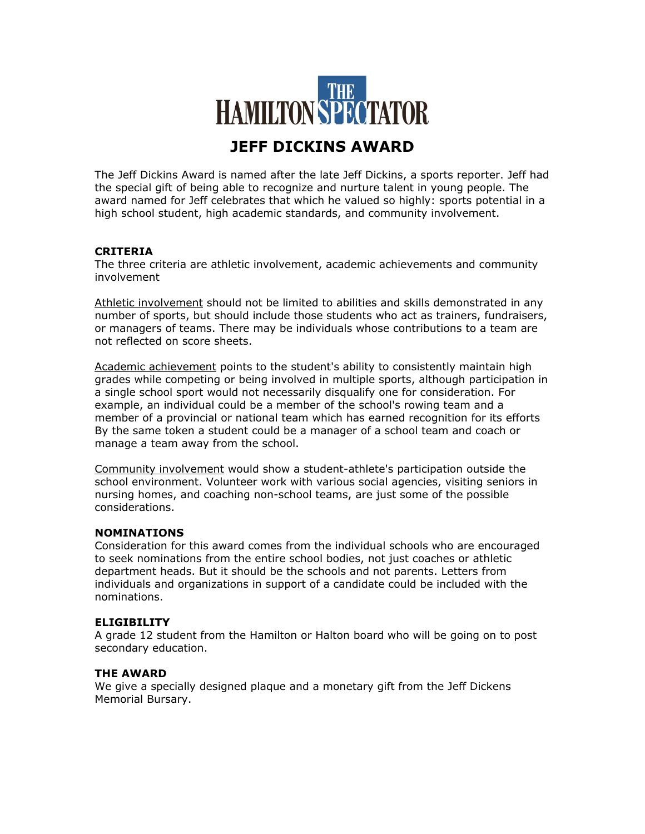

The Jeff Dickins Award is named after the late Jeff Dickins, a sports reporter. Jeff had the special gift of being able to recognize and nurture talent in young people. The award named for Jeff celebrates that which he valued so highly: sports potential in a high school student, high academic standards, and community involvement.

## **CRITERIA**

The three criteria are athletic involvement, academic achievements and community involvement

Athletic involvement should not be limited to abilities and skills demonstrated in any number of sports, but should include those students who act as trainers, fundraisers, or managers of teams. There may be individuals whose contributions to a team are not reflected on score sheets.

Academic achievement points to the student's ability to consistently maintain high grades while competing or being involved in multiple sports, although participation in a single school sport would not necessarily disqualify one for consideration. For example, an individual could be a member of the school's rowing team and a member of a provincial or national team which has earned recognition for its efforts By the same token a student could be a manager of a school team and coach or manage a team away from the school.

Community involvement would show a student-athlete's participation outside the school environment. Volunteer work with various social agencies, visiting seniors in nursing homes, and coaching non-school teams, are just some of the possible considerations.

## **NOMINATIONS**

Consideration for this award comes from the individual schools who are encouraged to seek nominations from the entire school bodies, not just coaches or athletic department heads. But it should be the schools and not parents. Letters from individuals and organizations in support of a candidate could be included with the nominations.

#### **ELIGIBILITY**

A grade 12 student from the Hamilton or Halton board who will be going on to post secondary education.

## **THE AWARD**

We give a specially designed plaque and a monetary gift from the Jeff Dickens Memorial Bursary.